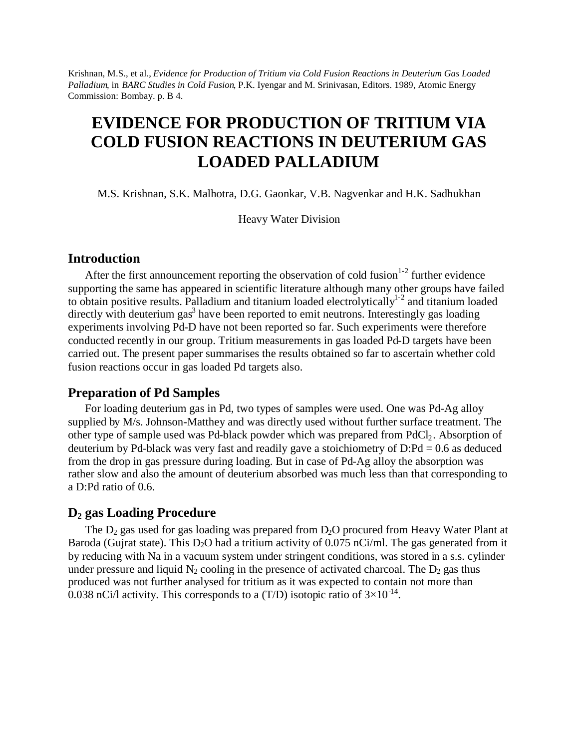Krishnan, M.S., et al., *Evidence for Production of Tritium via Cold Fusion Reactions in Deuterium Gas Loaded Palladium*, in *BARC Studies in Cold Fusion*, P.K. Iyengar and M. Srinivasan, Editors. 1989, Atomic Energy Commission: Bombay. p. B 4.

# **EVIDENCE FOR PRODUCTION OF TRITIUM VIA COLD FUSION REACTIONS IN DEUTERIUM GAS LOADED PALLADIUM**

M.S. Krishnan, S.K. Malhotra, D.G. Gaonkar, V.B. Nagvenkar and H.K. Sadhukhan

Heavy Water Division

## **Introduction**

After the first announcement reporting the observation of cold fusion $1-2$  further evidence supporting the same has appeared in scientific literature although many other groups have failed to obtain positive results. Palladium and titanium loaded electrolytically<sup>1-2</sup> and titanium loaded directly with deuterium gas<sup>3</sup> have been reported to emit neutrons. Interestingly gas loading experiments involving Pd-D have not been reported so far. Such experiments were therefore conducted recently in our group. Tritium measurements in gas loaded Pd-D targets have been carried out. The present paper summarises the results obtained so far to ascertain whether cold fusion reactions occur in gas loaded Pd targets also.

## **Preparation of Pd Samples**

For loading deuterium gas in Pd, two types of samples were used. One was Pd-Ag alloy supplied by M/s. Johnson-Matthey and was directly used without further surface treatment. The other type of sample used was Pd-black powder which was prepared from PdCl<sub>2</sub>. Absorption of deuterium by Pd-black was very fast and readily gave a stoichiometry of  $D: Pd = 0.6$  as deduced from the drop in gas pressure during loading. But in case of Pd-Ag alloy the absorption was rather slow and also the amount of deuterium absorbed was much less than that corresponding to a D:Pd ratio of 0.6.

# **D<sup>2</sup> gas Loading Procedure**

The  $D_2$  gas used for gas loading was prepared from  $D_2O$  procured from Heavy Water Plant at Baroda (Gujrat state). This  $D_2O$  had a tritium activity of 0.075 nCi/ml. The gas generated from it by reducing with Na in a vacuum system under stringent conditions, was stored in a s.s. cylinder under pressure and liquid  $N_2$  cooling in the presence of activated charcoal. The  $D_2$  gas thus produced was not further analysed for tritium as it was expected to contain not more than 0.038 nCi/l activity. This corresponds to a (T/D) isotopic ratio of  $3\times10^{-14}$ .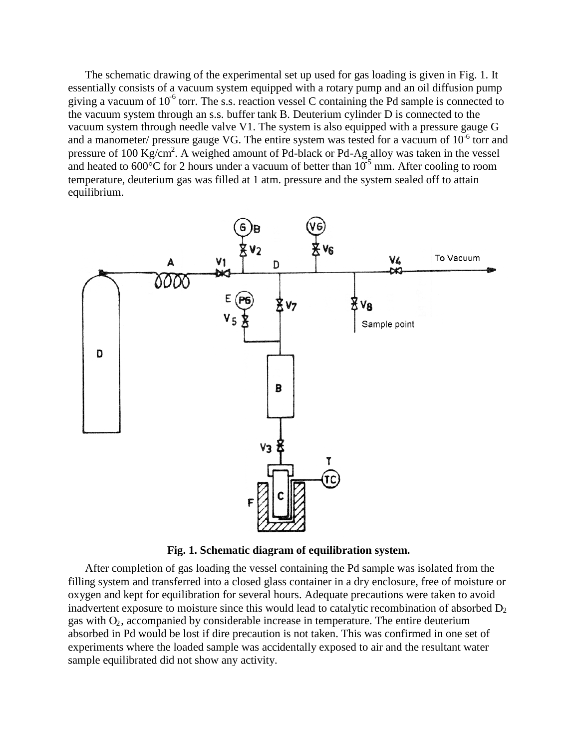The schematic drawing of the experimental set up used for gas loading is given in Fig. 1. It essentially consists of a vacuum system equipped with a rotary pump and an oil diffusion pump giving a vacuum of  $10^{-6}$  torr. The s.s. reaction vessel C containing the Pd sample is connected to the vacuum system through an s.s. buffer tank B. Deuterium cylinder D is connected to the vacuum system through needle valve V1. The system is also equipped with a pressure gauge G and a manometer/ pressure gauge VG. The entire system was tested for a vacuum of  $10^{-6}$  torr and pressure of 100 Kg/cm<sup>2</sup>. A weighed amount of Pd-black or Pd-Ag alloy was taken in the vessel and heated to  $600^{\circ}$ C for 2 hours under a vacuum of better than  $10^{-5}$  mm. After cooling to room temperature, deuterium gas was filled at 1 atm. pressure and the system sealed off to attain equilibrium.



**Fig. 1. Schematic diagram of equilibration system.**

After completion of gas loading the vessel containing the Pd sample was isolated from the filling system and transferred into a closed glass container in a dry enclosure, free of moisture or oxygen and kept for equilibration for several hours. Adequate precautions were taken to avoid inadvertent exposure to moisture since this would lead to catalytic recombination of absorbed  $D_2$ gas with  $O_2$ , accompanied by considerable increase in temperature. The entire deuterium absorbed in Pd would be lost if dire precaution is not taken. This was confirmed in one set of experiments where the loaded sample was accidentally exposed to air and the resultant water sample equilibrated did not show any activity.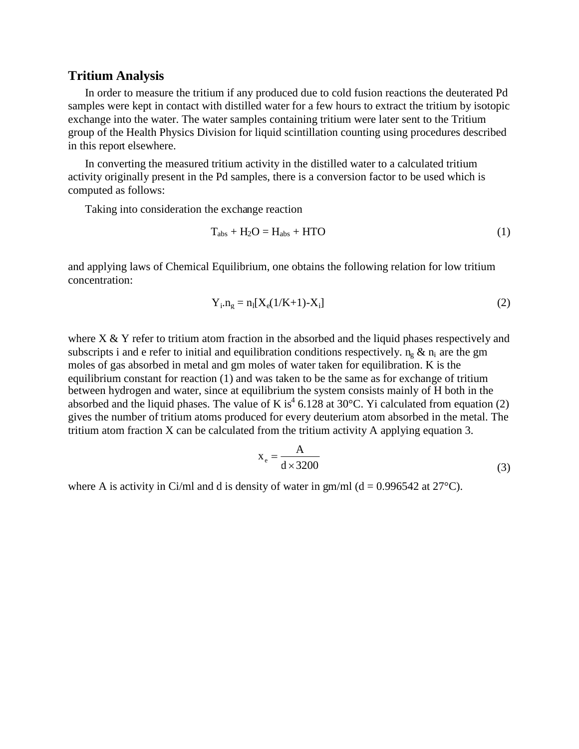## **Tritium Analysis**

In order to measure the tritium if any produced due to cold fusion reactions the deuterated Pd samples were kept in contact with distilled water for a few hours to extract the tritium by isotopic exchange into the water. The water samples containing tritium were later sent to the Tritium group of the Health Physics Division for liquid scintillation counting using procedures described in this report elsewhere.

In converting the measured tritium activity in the distilled water to a calculated tritium activity originally present in the Pd samples, there is a conversion factor to be used which is computed as follows:

Taking into consideration the exchange reaction

$$
T_{\text{abs}} + H_2O = H_{\text{abs}} + HTO \tag{1}
$$

and applying laws of Chemical Equilibrium, one obtains the following relation for low tritium concentration:

$$
Y_i.n_g = n_i[X_e(1/K+1) - X_i]
$$
 (2)

where  $X \& Y$  refer to tritium atom fraction in the absorbed and the liquid phases respectively and subscripts i and e refer to initial and equilibration conditions respectively.  $n_{\rm o} \& n_{\rm i}$  are the gm moles of gas absorbed in metal and gm moles of water taken for equilibration. K is the equilibrium constant for reaction (1) and was taken to be the same as for exchange of tritium between hydrogen and water, since at equilibrium the system consists mainly of H both in the absorbed and the liquid phases. The value of K is<sup>4</sup> 6.128 at 30 °C. Yi calculated from equation (2) gives the number of tritium atoms produced for every deuterium atom absorbed in the metal. The tritium atom fraction X can be calculated from the tritium activity A applying equation 3.

$$
x_e = \frac{A}{d \times 3200}
$$
 (3)

where A is activity in Ci/ml and d is density of water in gm/ml ( $d = 0.996542$  at  $27^{\circ}$ C).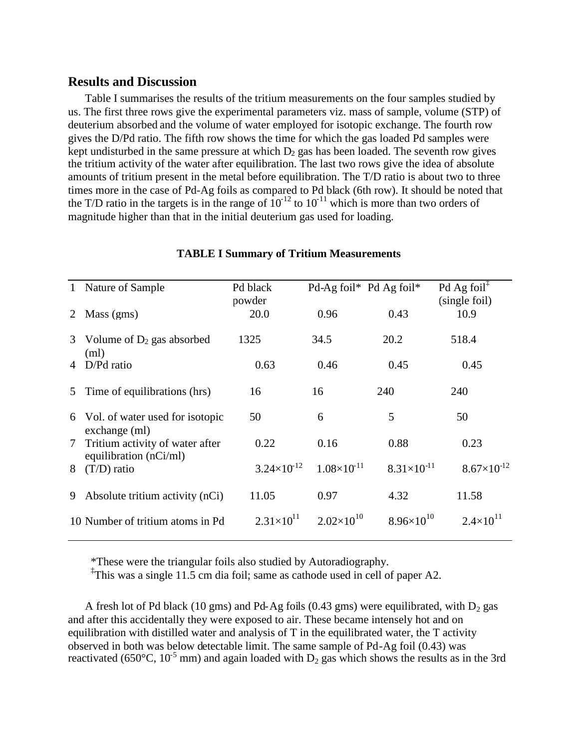# **Results and Discussion**

Table I summarises the results of the tritium measurements on the four samples studied by us. The first three rows give the experimental parameters viz. mass of sample, volume (STP) of deuterium absorbed and the volume of water employed for isotopic exchange. The fourth row gives the D/Pd ratio. The fifth row shows the time for which the gas loaded Pd samples were kept undisturbed in the same pressure at which  $D_2$  gas has been loaded. The seventh row gives the tritium activity of the water after equilibration. The last two rows give the idea of absolute amounts of tritium present in the metal before equilibration. The T/D ratio is about two to three times more in the case of Pd-Ag foils as compared to Pd black (6th row). It should be noted that the T/D ratio in the targets is in the range of  $10^{-12}$  to  $10^{-11}$  which is more than two orders of magnitude higher than that in the initial deuterium gas used for loading.

|                | 1 Nature of Sample                                        | Pd black<br>powder   |                      | Pd-Ag foil* Pd Ag foil* | Pd Ag foil <sup><math>\ddagger</math></sup><br>(single foil) |
|----------------|-----------------------------------------------------------|----------------------|----------------------|-------------------------|--------------------------------------------------------------|
| 2              | Mass (gms)                                                | 20.0                 | 0.96                 | 0.43                    | 10.9                                                         |
| 3 <sup>7</sup> | Volume of $D_2$ gas absorbed<br>(ml)                      | 1325                 | 34.5                 | 20.2                    | 518.4                                                        |
| 4              | D/Pd ratio                                                | 0.63                 | 0.46                 | 0.45                    | 0.45                                                         |
| 5              | Time of equilibrations (hrs)                              | 16                   | 16                   | 240                     | 240                                                          |
| 6              | Vol. of water used for isotopic<br>exchange (ml)          | 50                   | 6                    | 5                       | 50                                                           |
| 7 <sup>7</sup> | Tritium activity of water after<br>equilibration (nCi/ml) | 0.22                 | 0.16                 | 0.88                    | 0.23                                                         |
| 8              | $(T/D)$ ratio                                             | $3.24\times10^{-12}$ | $1.08\times10^{-11}$ | $8.31\times10^{-11}$    | $8.67\times10^{-12}$                                         |
| 9              | Absolute tritium activity (nCi)                           | 11.05                | 0.97                 | 4.32                    | 11.58                                                        |
|                | 10 Number of tritium atoms in Pd                          | $2.31\times10^{11}$  | $2.02\times10^{10}$  | $8.96\times10^{10}$     | $2.4 \times 10^{11}$                                         |
|                |                                                           |                      |                      |                         |                                                              |

#### **TABLE I Summary of Tritium Measurements**

\*These were the triangular foils also studied by Autoradiography.

‡ This was a single 11.5 cm dia foil; same as cathode used in cell of paper A2.

A fresh lot of Pd black (10 gms) and Pd-Ag foils (0.43 gms) were equilibrated, with  $D_2$  gas and after this accidentally they were exposed to air. These became intensely hot and on equilibration with distilled water and analysis of T in the equilibrated water, the T activity observed in both was below detectable limit. The same sample of Pd-Ag foil (0.43) was reactivated (650°C, 10<sup>-5</sup> mm) and again loaded with  $D_2$  gas which shows the results as in the 3rd